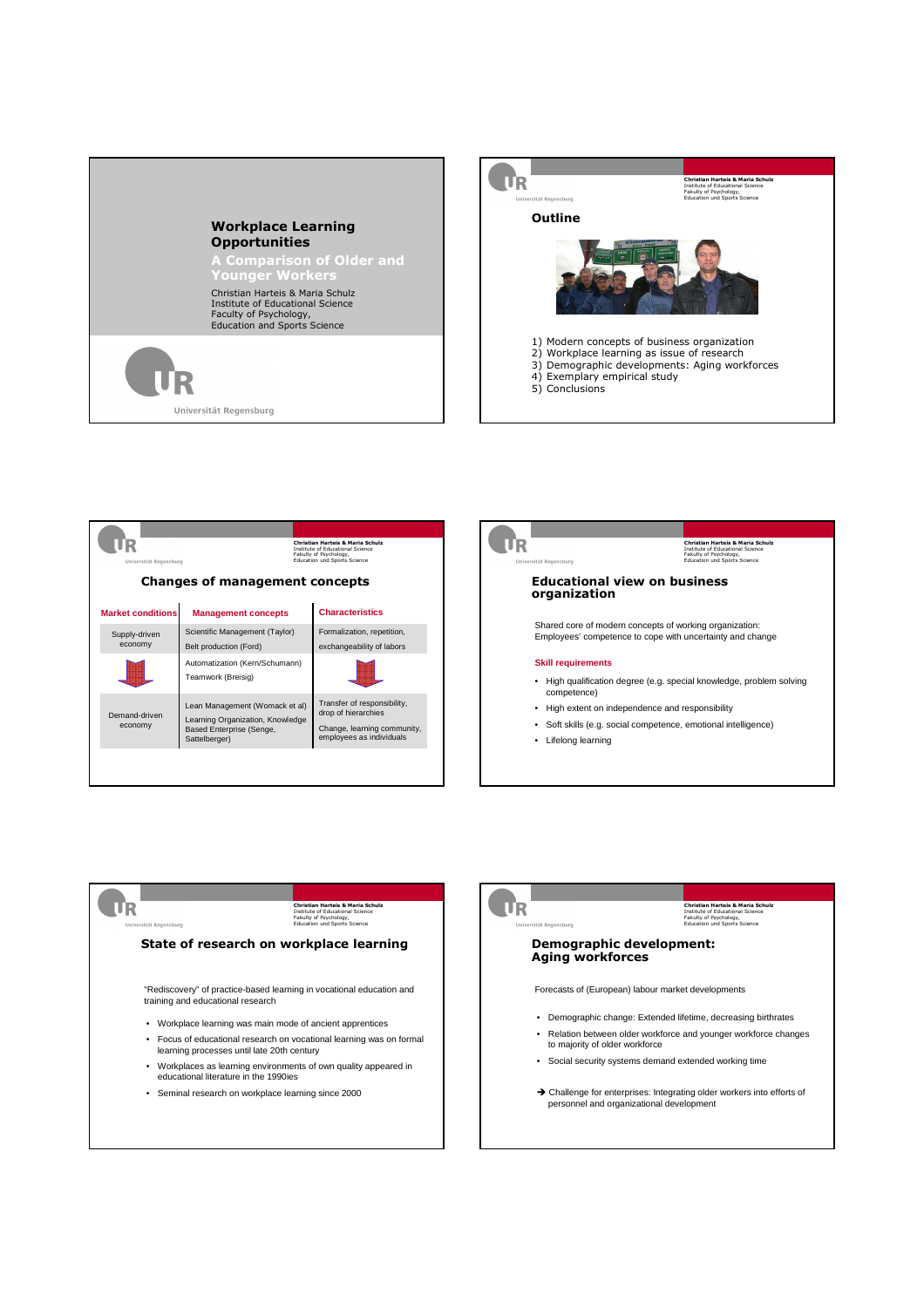











 Challenge for enterprises: Integrating older workers into efforts of personnel and organizational development